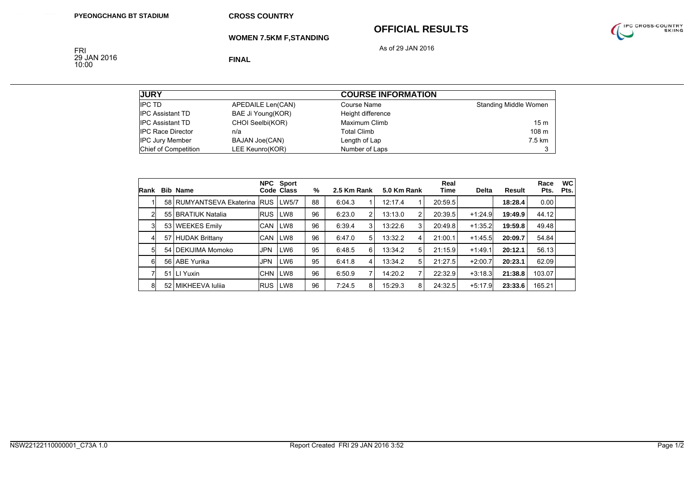## **OFFICIAL RESULTS**



**WOMEN 7.5KM F,STANDING**

As of 29 JAN 2016

FRI<br>29 JAN 2016<br>10:00

**FINAL**

| <b>JURY</b>              |                       | <b>COURSE INFORMATION</b> |                       |  |  |  |  |
|--------------------------|-----------------------|---------------------------|-----------------------|--|--|--|--|
| <b>IPC TD</b>            | APEDAILE Len(CAN)     | Course Name               | Standing Middle Women |  |  |  |  |
| <b>IPC Assistant TD</b>  | BAE Ji Young(KOR)     | Height difference         |                       |  |  |  |  |
| <b>IPC Assistant TD</b>  | CHOI Seelbi(KOR)      | Maximum Climb             | 15 <sub>m</sub>       |  |  |  |  |
| <b>IPC Race Director</b> | n/a                   | <b>Total Climb</b>        | 108 m                 |  |  |  |  |
| <b>IPC Jury Member</b>   | <b>BAJAN Joe(CAN)</b> | Length of Lap             | 7.5 km                |  |  |  |  |
| Chief of Competition     | LEE Keunro(KOR)       | Number of Laps            |                       |  |  |  |  |

| <b>Rank</b>    | <b>Bib Name</b>              |            | NPC Sport<br>Code Class | %  | 2.5 Km Rank |   | 5.0 Km Rank |   | Real<br>Time | <b>Delta</b> | <b>Result</b> | Race<br>Pts. | <b>WC</b><br>Pts. |
|----------------|------------------------------|------------|-------------------------|----|-------------|---|-------------|---|--------------|--------------|---------------|--------------|-------------------|
|                | 58 RUMYANTSEVA Ekaterina RUS |            | LW5/7                   | 88 | 6:04.3      |   | 12:17.4     |   | 20:59.5      |              | 18:28.4       | 0.00         |                   |
| 2              | 55 BRATIUK Natalia           | <b>RUS</b> | LW8                     | 96 | 6:23.0      | 2 | 13:13.0     | 2 | 20:39.5      | $+1:24.9$    | 19:49.9       | 44.12        |                   |
| 3              | 53 WEEKES Emily              | <b>CAN</b> | LW <sub>8</sub>         | 96 | 6:39.4      | 3 | 13:22.6     | 3 | 20:49.8      | $+1:35.2$    | 19:59.8       | 49.48        |                   |
| 4              | 57 HUDAK Brittany            | <b>CAN</b> | LW8                     | 96 | 6:47.0      | 5 | 13:32.2     | 4 | 21:00.1      | $+1:45.5$    | 20:09.7       | 54.84        |                   |
| 5 <sup>1</sup> | 54 DEKIJIMA Momoko           | <b>JPN</b> | LW6                     | 95 | 6:48.5      | 6 | 13:34.2     | 5 | 21:15.9      | $+1:49.1$    | 20:12.1       | 56.13        |                   |
| 6              | 56 ABE Yurika                | <b>JPN</b> | LW <sub>6</sub>         | 95 | 6:41.8      | 4 | 13:34.2     | 5 | 21:27.5      | $+2:00.7$    | 20:23.1       | 62.09        |                   |
|                | 51 LI Yuxin                  | <b>CHN</b> | LW <sub>8</sub>         | 96 | 6:50.9      | 7 | 14:20.2     | 7 | 22:32.9      | $+3:18.3$    | 21:38.8       | 103.07       |                   |
| 8              | 52 MIKHEEVA Iulija           | <b>RUS</b> | LW8                     | 96 | 7:24.5      | 8 | 15:29.3     | 8 | 24:32.5      | $+5:17.9$    | 23:33.6       | 165.21       |                   |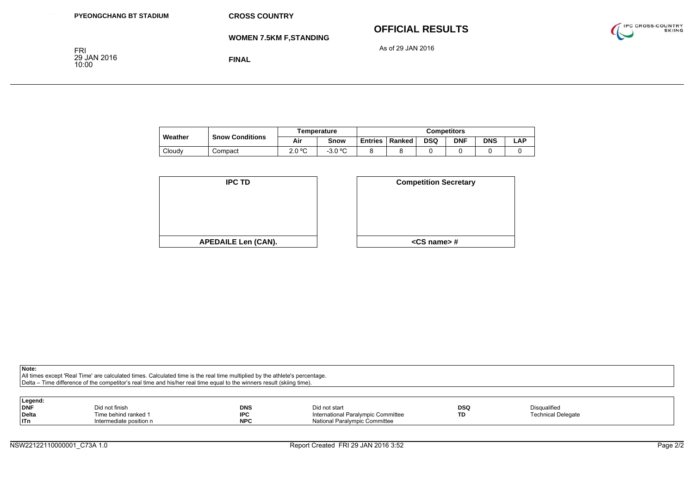**WOMEN 7.5KM F,STANDING**

## **OFFICIAL RESULTS**



As of 29 JAN 2016

FRI<br>29 JAN 2016<br>10:00

**FINAL**

|         | Temperature            |        | <b>Competitors</b> |                |        |            |            |            |      |
|---------|------------------------|--------|--------------------|----------------|--------|------------|------------|------------|------|
| Weather | <b>Snow Conditions</b> | Air    | Snow               | <b>Entries</b> | Ranked | <b>DSQ</b> | <b>DNF</b> | <b>DNS</b> | ∟AP. |
| Cloudy  | Compact                | 2.0 °C | $-3.0 °C$          |                |        |            |            |            |      |

| <b>IPC TD</b>              | <b>Competition Secre</b> |
|----------------------------|--------------------------|
|                            |                          |
|                            |                          |
|                            |                          |
|                            |                          |
|                            |                          |
| <b>APEDAILE Len (CAN).</b> | $<$ CS name $>$ #        |

| D         | <b>Competition Secretary</b> |
|-----------|------------------------------|
|           |                              |
|           |                              |
|           |                              |
| en (CAN). | <cs name="">#</cs>           |

**Note:**

All times except 'Real Time' are calculated times. Calculated time is the real time multiplied by the athlete's percentage. Delta – Time difference of the competitor's real time and his/her real time equal to the winners result (skiing time).

| Legend:    |                         |            |                                    |            |                           |
|------------|-------------------------|------------|------------------------------------|------------|---------------------------|
| <b>DNF</b> | Did not finish          | <b>DNS</b> | Did not start                      | <b>DSQ</b> | Disqualified              |
| Delta      | Time behind ranked 1    | <b>IPC</b> | International Paralympic Committee | TD         | <b>Technical Delegate</b> |
| ITn        | Intermediate position n | <b>NPC</b> | National Paralympic Committee      |            |                           |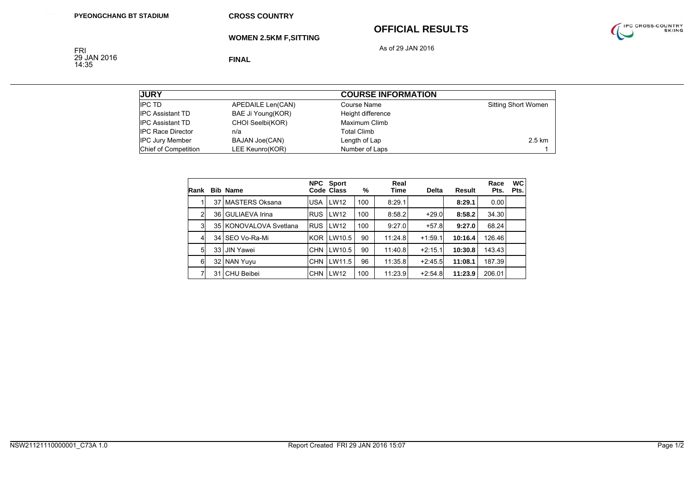## **OFFICIAL RESULTS**



**WOMEN 2.5KM F,SITTING**

As of 29 JAN 2016

FRI<br>29 JAN 2016<br>14:35

**FINAL**

| <b>JURY</b>              |                       | <b>COURSE INFORMATION</b> |                            |
|--------------------------|-----------------------|---------------------------|----------------------------|
| <b>IPC TD</b>            | APEDAILE Len(CAN)     | Course Name               | <b>Sitting Short Women</b> |
| <b>IPC Assistant TD</b>  | BAE Ji Young(KOR)     | Height difference         |                            |
| <b>IPC Assistant TD</b>  | CHOI Seelbi(KOR)      | Maximum Climb             |                            |
| <b>IPC Race Director</b> | n/a                   | Total Climb               |                            |
| <b>IPC Jury Member</b>   | <b>BAJAN Joe(CAN)</b> | Length of Lap             | 2.5 km                     |
| Chief of Competition     | LEE Keunro(KOR)       | Number of Laps            |                            |

| Rank           | <b>Bib Name</b>        |            | NPC Sport<br>Code Class | %   | Real<br>Time | <b>Delta</b> | Result  | Race<br>Pts. | <b>WC</b><br>Pts. |
|----------------|------------------------|------------|-------------------------|-----|--------------|--------------|---------|--------------|-------------------|
|                | 37 MASTERS Oksana      | <b>USA</b> | LW12                    | 100 | 8:29.1       |              | 8:29.1  | 0.00         |                   |
| $\overline{2}$ | 36 GULIAEVA Irina      | <b>RUS</b> | <b>LW12</b>             | 100 | 8:58.2       | $+29.0$      | 8:58.2  | 34.30        |                   |
| 3 <sup>1</sup> | 35 KONOVALOVA Svetlana | <b>RUS</b> | LW12                    | 100 | 9:27.0       | $+57.8$      | 9:27.0  | 68.24        |                   |
| 4              | 34 SEO Vo-Ra-Mi        | <b>KOR</b> | LW10.5                  | 90  | 11:24.8      | $+1:59.1$    | 10:16.4 | 126.46       |                   |
| 5 <sub>5</sub> | 33 JIN Yawei           | <b>CHN</b> | LW10.5                  | 90  | 11:40.8      | $+2:15.1$    | 10:30.8 | 143.43       |                   |
| 6              | 32 NAN Yuyu            | <b>CHN</b> | LW11.5                  | 96  | 11:35.8      | $+2:45.5$    | 11:08.1 | 187.39       |                   |
|                | 31 CHU Beibei          | <b>CHN</b> | <b>LW12</b>             | 100 | 11:23.9      | $+2:54.8$    | 11:23.9 | 206.01       |                   |